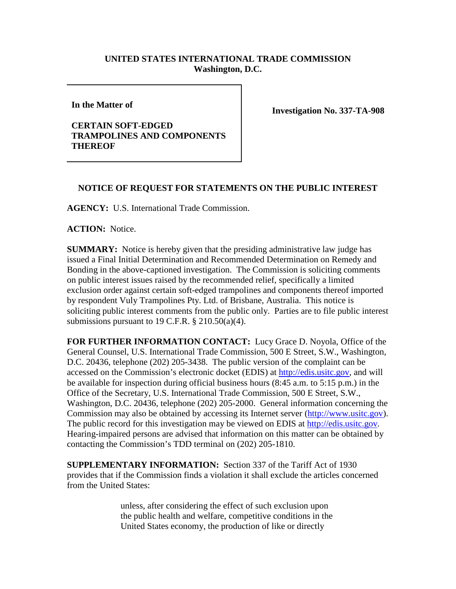## **UNITED STATES INTERNATIONAL TRADE COMMISSION Washington, D.C.**

**In the Matter of** 

## **CERTAIN SOFT-EDGED TRAMPOLINES AND COMPONENTS THEREOF**

**Investigation No. 337-TA-908**

## **NOTICE OF REQUEST FOR STATEMENTS ON THE PUBLIC INTEREST**

**AGENCY:** U.S. International Trade Commission.

**ACTION:** Notice.

**SUMMARY:** Notice is hereby given that the presiding administrative law judge has issued a Final Initial Determination and Recommended Determination on Remedy and Bonding in the above-captioned investigation. The Commission is soliciting comments on public interest issues raised by the recommended relief, specifically a limited exclusion order against certain soft-edged trampolines and components thereof imported by respondent Vuly Trampolines Pty. Ltd. of Brisbane, Australia. This notice is soliciting public interest comments from the public only. Parties are to file public interest submissions pursuant to 19 C.F.R.  $\S 210.50(a)(4)$ .

**FOR FURTHER INFORMATION CONTACT:** Lucy Grace D. Noyola, Office of the General Counsel, U.S. International Trade Commission, 500 E Street, S.W., Washington, D.C. 20436, telephone (202) 205-3438. The public version of the complaint can be accessed on the Commission's electronic docket (EDIS) at [http://edis.usitc.gov,](http://edis.usitc.gov/) and will be available for inspection during official business hours (8:45 a.m. to 5:15 p.m.) in the Office of the Secretary, U.S. International Trade Commission, 500 E Street, S.W., Washington, D.C. 20436, telephone (202) 205-2000. General information concerning the Commission may also be obtained by accessing its Internet server [\(http://www.usitc.gov\)](http://www.usitc.gov/). The public record for this investigation may be viewed on EDIS at [http://edis.usitc.gov](http://edis.usitc.gov/)*.* Hearing-impaired persons are advised that information on this matter can be obtained by contacting the Commission's TDD terminal on (202) 205-1810.

**SUPPLEMENTARY INFORMATION:** Section 337 of the Tariff Act of 1930 provides that if the Commission finds a violation it shall exclude the articles concerned from the United States:

> unless, after considering the effect of such exclusion upon the public health and welfare, competitive conditions in the United States economy, the production of like or directly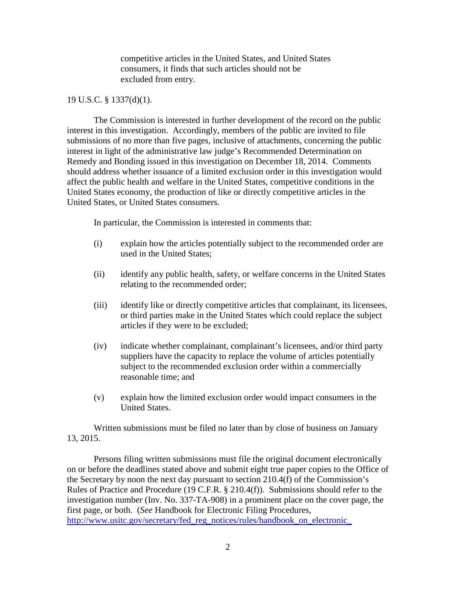competitive articles in the United States, and United States consumers, it finds that such articles should not be excluded from entry.

## 19 U.S.C. § 1337(d)(1).

The Commission is interested in further development of the record on the public interest in this investigation. Accordingly, members of the public are invited to file submissions of no more than five pages, inclusive of attachments, concerning the public interest in light of the administrative law judge's Recommended Determination on Remedy and Bonding issued in this investigation on December 18, 2014. Comments should address whether issuance of a limited exclusion order in this investigation would affect the public health and welfare in the United States, competitive conditions in the United States economy, the production of like or directly competitive articles in the United States, or United States consumers.

In particular, the Commission is interested in comments that:

- (i) explain how the articles potentially subject to the recommended order are used in the United States;
- (ii) identify any public health, safety, or welfare concerns in the United States relating to the recommended order;
- (iii) identify like or directly competitive articles that complainant, its licensees, or third parties make in the United States which could replace the subject articles if they were to be excluded;
- (iv) indicate whether complainant, complainant's licensees, and/or third party suppliers have the capacity to replace the volume of articles potentially subject to the recommended exclusion order within a commercially reasonable time; and
- (v) explain how the limited exclusion order would impact consumers in the United States.

Written submissions must be filed no later than by close of business on January 13, 2015.

Persons filing written submissions must file the original document electronically on or before the deadlines stated above and submit eight true paper copies to the Office of the Secretary by noon the next day pursuant to section 210.4(f) of the Commission's Rules of Practice and Procedure (19 C.F.R. § 210.4(f)). Submissions should refer to the investigation number (Inv. No. 337-TA-908) in a prominent place on the cover page, the first page, or both. (*See* Handbook for Electronic Filing Procedures, http://www.usitc.gov/secretary/fed\_reg\_notices/rules/handbook\_on\_electronic